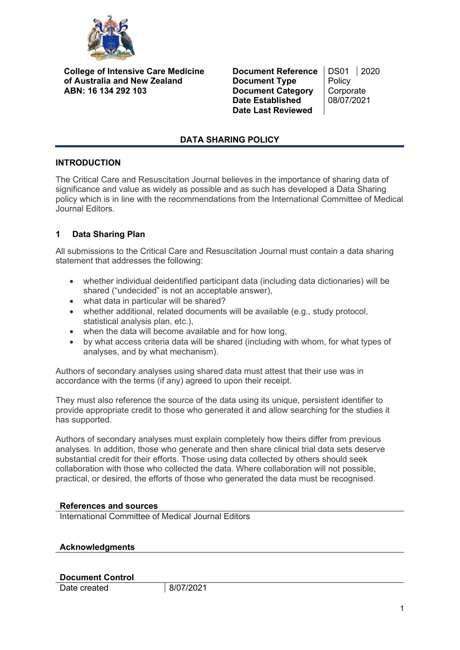

**College of Intensive Care Medicine of Australia and New Zealand ABN: 16 134 292 103**

**Document Reference** | DS01 | 2020<br>**Document Type** | Policy **Document Type** Policy<br>**Document Category** Corporate **Document Category** Corporate<br>
Date Established 08/07/2021 **Date Established Date Last Reviewed**

## **DATA SHARING POLICY**

### **INTRODUCTION**

The Critical Care and Resuscitation Journal believes in the importance of sharing data of significance and value as widely as possible and as such has developed a Data Sharing policy which is in line with the recommendations from the International Committee of Medical Journal Editors.

# **1 Data Sharing Plan**

All submissions to the Critical Care and Resuscitation Journal must contain a data sharing statement that addresses the following:

- whether individual deidentified participant data (including data dictionaries) will be shared ("undecided" is not an acceptable answer),
- what data in particular will be shared?
- whether additional, related documents will be available (e.g., study protocol, statistical analysis plan, etc.),
- when the data will become available and for how long,
- by what access criteria data will be shared (including with whom, for what types of analyses, and by what mechanism).

Authors of secondary analyses using shared data must attest that their use was in accordance with the terms (if any) agreed to upon their receipt.

They must also reference the source of the data using its unique, persistent identifier to provide appropriate credit to those who generated it and allow searching for the studies it has supported.

Authors of secondary analyses must explain completely how theirs differ from previous analyses. In addition, those who generate and then share clinical trial data sets deserve substantial credit for their efforts. Those using data collected by others should seek collaboration with those who collected the data. Where collaboration will not possible, practical, or desired, the efforts of those who generated the data must be recognised.

### **References and sources**

International Committee of Medical Journal Editors

### **Acknowledgments**

### **Document Control**

Date created 8/07/2021